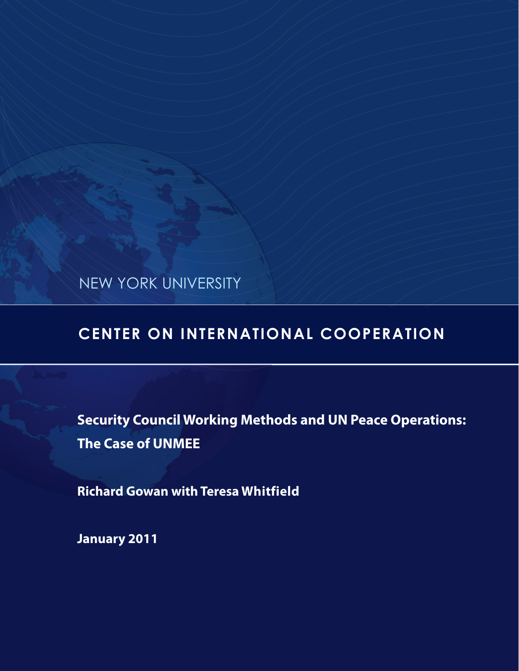NEW YORK UNIVERSITY

# **CENTER ON INTERNATIONAL COOPERATION**

**Security Council Working Methods and UN Peace Operations: The Case of UNMEE**

**Richard Gowan with Teresa Whitfield**

**January 2011**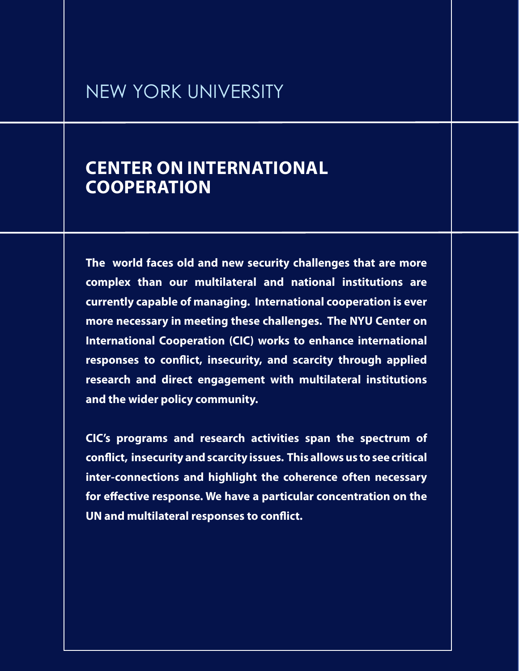# NEW YORK UNIVERSITY

# **CENTER ON INTERNATIONAL COOPERATION**

**The world faces old and new security challenges that are more complex than our multilateral and national institutions are currently capable of managing. International cooperation is ever more necessary in meeting these challenges. The NYU Center on International Cooperation (CIC) works to enhance international responses to conflict, insecurity, and scarcity through applied research and direct engagement with multilateral institutions and the wider policy community.**

**CIC's programs and research activities span the spectrum of conflict, insecurity and scarcity issues. This allows us to see critical inter-connections and highlight the coherence often necessary for effective response. We have a particular concentration on the UN and multilateral responses to conflict.**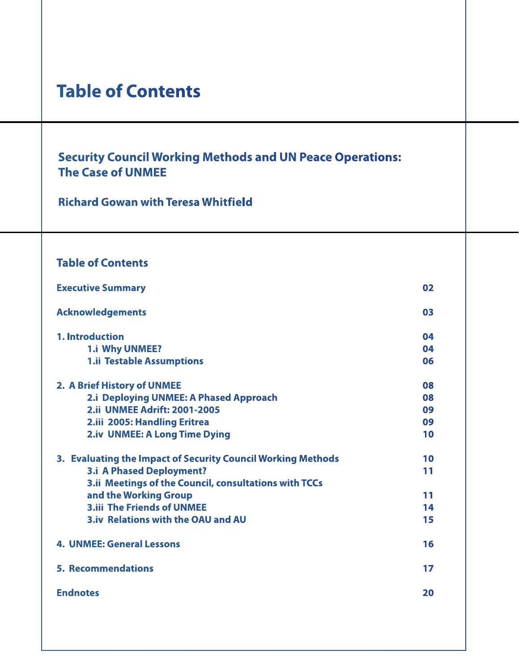# **Table of Contents**

# **Security Council Working Methods and UN Peace Operations: The Case of UNMEE**

# **Richard Gowan with Teresa Whitfield**

# **Table of Contents**

| <b>Executive Summary</b>                                     | 02 |
|--------------------------------------------------------------|----|
| <b>Acknowledgements</b>                                      | 03 |
| 1. Introduction                                              | 04 |
| 1.i Why UNMEE?                                               | 04 |
| <b>1.ii Testable Assumptions</b>                             | 06 |
| 2. A Brief History of UNMEE                                  | 08 |
| 2.i Deploying UNMEE: A Phased Approach                       | 08 |
| 2.ii UNMEE Adrift: 2001-2005                                 | 09 |
| 2.iii 2005: Handling Eritrea                                 | 09 |
| 2.iv UNMEE: A Long Time Dying                                | 10 |
| 3. Evaluating the Impact of Security Council Working Methods | 10 |
| <b>3.i A Phased Deployment?</b>                              | 11 |
| 3.ii Meetings of the Council, consultations with TCCs        |    |
| and the Working Group                                        | 11 |
| <b>3.iii The Friends of UNMEE</b>                            | 14 |
| 3.iv Relations with the OAU and AU                           | 15 |
| <b>4. UNMEE: General Lessons</b>                             | 16 |
| <b>5. Recommendations</b>                                    | 17 |
| <b>Endnotes</b>                                              | 20 |
|                                                              |    |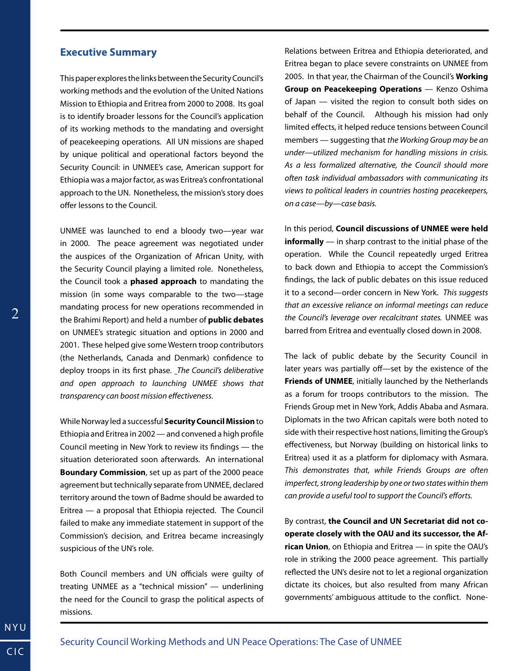### **Executive Summary**

This paper explores the links between the Security Council's working methods and the evolution of the United Nations Mission to Ethiopia and Eritrea from 2000 to 2008. Its goal is to identify broader lessons for the Council's application of its working methods to the mandating and oversight of peacekeeping operations. All UN missions are shaped by unique political and operational factors beyond the Security Council: in UNMEE's case, American support for Ethiopia was a major factor, as was Eritrea's confrontational approach to the UN. Nonetheless, the mission's story does offer lessons to the Council.

UNMEE was launched to end a bloody two—year war in 2000. The peace agreement was negotiated under the auspices of the Organization of African Unity, with the Security Council playing a limited role. Nonetheless, the Council took a **phased approach** to mandating the mission (in some ways comparable to the two—stage mandating process for new operations recommended in the Brahimi Report) and held a number of **public debates**  on UNMEE's strategic situation and options in 2000 and 2001. These helped give some Western troop contributors (the Netherlands, Canada and Denmark) confidence to deploy troops in its first phase. *The Council's deliberative and open approach to launching UNMEE shows that transparency can boost mission effectiveness.* 

While Norway led a successful **Security Council Mission** to Ethiopia and Eritrea in 2002 — and convened a high profile Council meeting in New York to review its findings — the situation deteriorated soon afterwards. An international **Boundary Commission**, set up as part of the 2000 peace agreement but technically separate from UNMEE, declared territory around the town of Badme should be awarded to Eritrea — a proposal that Ethiopia rejected. The Council failed to make any immediate statement in support of the Commission's decision, and Eritrea became increasingly suspicious of the UN's role.

Both Council members and UN officials were guilty of treating UNMEE as a "technical mission" — underlining the need for the Council to grasp the political aspects of missions.

Relations between Eritrea and Ethiopia deteriorated, and Eritrea began to place severe constraints on UNMEE from 2005. In that year, the Chairman of the Council's **Working Group on Peacekeeping Operations** — Kenzo Oshima of Japan — visited the region to consult both sides on behalf of the Council. Although his mission had only limited effects, it helped reduce tensions between Council members — suggesting that *the Working Group may be an under—utilized mechanism for handling missions in crisis. As a less formalized alternative, the Council should more often task individual ambassadors with communicating its views to political leaders in countries hosting peacekeepers, on a case—by—case basis.*

In this period, **Council discussions of UNMEE were held informally** — in sharp contrast to the initial phase of the operation. While the Council repeatedly urged Eritrea to back down and Ethiopia to accept the Commission's findings, the lack of public debates on this issue reduced it to a second—order concern in New York. *This suggests that an excessive reliance on informal meetings can reduce the Council's leverage over recalcitrant states.* UNMEE was barred from Eritrea and eventually closed down in 2008.

The lack of public debate by the Security Council in later years was partially off—set by the existence of the **Friends of UNMEE**, initially launched by the Netherlands as a forum for troops contributors to the mission. The Friends Group met in New York, Addis Ababa and Asmara. Diplomats in the two African capitals were both noted to side with their respective host nations, limiting the Group's effectiveness, but Norway (building on historical links to Eritrea) used it as a platform for diplomacy with Asmara. *This demonstrates that, while Friends Groups are often imperfect, strong leadership by one or two states within them can provide a useful tool to support the Council's efforts.*

By contrast, **the Council and UN Secretariat did not cooperate closely with the OAU and its successor, the African Union**, on Ethiopia and Eritrea — in spite the OAU's role in striking the 2000 peace agreement. This partially reflected the UN's desire not to let a regional organization dictate its choices, but also resulted from many African governments' ambiguous attitude to the conflict. None-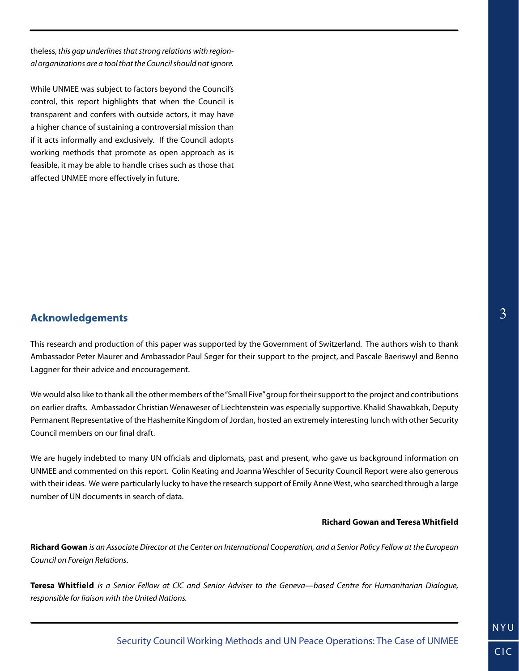theless, *this gap underlines that strong relations with regional organizations are a tool that the Council should not ignore.*

While UNMEE was subject to factors beyond the Council's control, this report highlights that when the Council is transparent and confers with outside actors, it may have a higher chance of sustaining a controversial mission than if it acts informally and exclusively. If the Council adopts working methods that promote as open approach as is feasible, it may be able to handle crises such as those that affected UNMEE more effectively in future.

### **Acknowledgements**

This research and production of this paper was supported by the Government of Switzerland. The authors wish to thank Ambassador Peter Maurer and Ambassador Paul Seger for their support to the project, and Pascale Baeriswyl and Benno Laggner for their advice and encouragement.

We would also like to thank all the other members of the "Small Five" group for their support to the project and contributions on earlier drafts. Ambassador Christian Wenaweser of Liechtenstein was especially supportive. Khalid Shawabkah, Deputy Permanent Representative of the Hashemite Kingdom of Jordan, hosted an extremely interesting lunch with other Security Council members on our final draft.

We are hugely indebted to many UN officials and diplomats, past and present, who gave us background information on UNMEE and commented on this report. Colin Keating and Joanna Weschler of Security Council Report were also generous with their ideas. We were particularly lucky to have the research support of Emily Anne West, who searched through a large number of UN documents in search of data.

#### **Richard Gowan and Teresa Whitfield**

**Richard Gowan** *is an Associate Director at the Center on International Cooperation, and a Senior Policy Fellow at the European Council on Foreign Relations*.

**Teresa Whitfield** *is a Senior Fellow at CIC and Senior Adviser to the Geneva—based Centre for Humanitarian Dialogue, responsible for liaison with the United Nations.*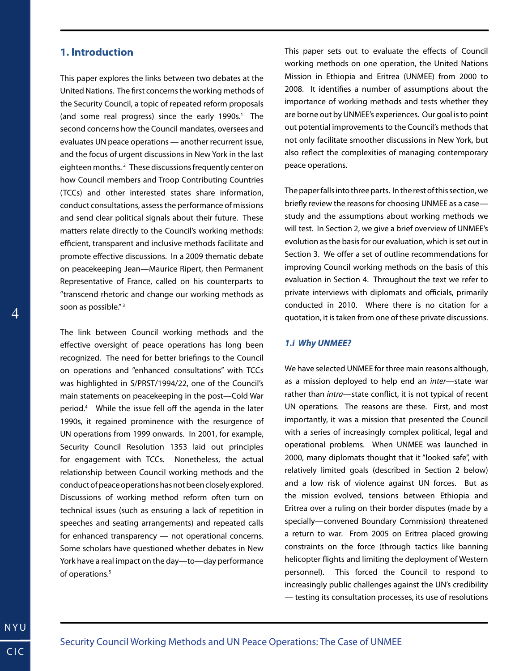## **1. Introduction**

This paper explores the links between two debates at the United Nations. The first concerns the working methods of the Security Council, a topic of repeated reform proposals (and some real progress) since the early  $1990s<sup>1</sup>$ . The second concerns how the Council mandates, oversees and evaluates UN peace operations — another recurrent issue, and the focus of urgent discussions in New York in the last eighteen months.<sup>2</sup> These discussions frequently center on how Council members and Troop Contributing Countries (TCCs) and other interested states share information, conduct consultations, assess the performance of missions and send clear political signals about their future. These matters relate directly to the Council's working methods: efficient, transparent and inclusive methods facilitate and promote effective discussions. In a 2009 thematic debate on peacekeeping Jean—Maurice Ripert, then Permanent Representative of France, called on his counterparts to "transcend rhetoric and change our working methods as soon as possible."<sup>3</sup>

The link between Council working methods and the effective oversight of peace operations has long been recognized. The need for better briefings to the Council on operations and "enhanced consultations" with TCCs was highlighted in S/PRST/1994/22, one of the Council's main statements on peacekeeping in the post—Cold War period.4 While the issue fell off the agenda in the later 1990s, it regained prominence with the resurgence of UN operations from 1999 onwards. In 2001, for example, Security Council Resolution 1353 laid out principles for engagement with TCCs. Nonetheless, the actual relationship between Council working methods and the conduct of peace operations has not been closely explored. Discussions of working method reform often turn on technical issues (such as ensuring a lack of repetition in speeches and seating arrangements) and repeated calls for enhanced transparency — not operational concerns. Some scholars have questioned whether debates in New York have a real impact on the day—to—day performance of operations.<sup>5</sup>

This paper sets out to evaluate the effects of Council working methods on one operation, the United Nations Mission in Ethiopia and Eritrea (UNMEE) from 2000 to 2008. It identifies a number of assumptions about the importance of working methods and tests whether they are borne out by UNMEE's experiences. Our goal is to point out potential improvements to the Council's methods that not only facilitate smoother discussions in New York, but also reflect the complexities of managing contemporary peace operations.

The paper falls into three parts. In the rest of this section, we briefly review the reasons for choosing UNMEE as a case study and the assumptions about working methods we will test. In Section 2, we give a brief overview of UNMEE's evolution as the basis for our evaluation, which is set out in Section 3. We offer a set of outline recommendations for improving Council working methods on the basis of this evaluation in Section 4. Throughout the text we refer to private interviews with diplomats and officials, primarily conducted in 2010. Where there is no citation for a quotation, it is taken from one of these private discussions.

#### *1.i Why UNMEE?*

We have selected UNMEE for three main reasons although, as a mission deployed to help end an *inter*—state war rather than *intra—*state conflict, it is not typical of recent UN operations. The reasons are these. First, and most importantly, it was a mission that presented the Council with a series of increasingly complex political, legal and operational problems. When UNMEE was launched in 2000, many diplomats thought that it "looked safe", with relatively limited goals (described in Section 2 below) and a low risk of violence against UN forces. But as the mission evolved, tensions between Ethiopia and Eritrea over a ruling on their border disputes (made by a specially—convened Boundary Commission) threatened a return to war. From 2005 on Eritrea placed growing constraints on the force (through tactics like banning helicopter flights and limiting the deployment of Western personnel). This forced the Council to respond to increasingly public challenges against the UN's credibility — testing its consultation processes, its use of resolutions

NYU

CIC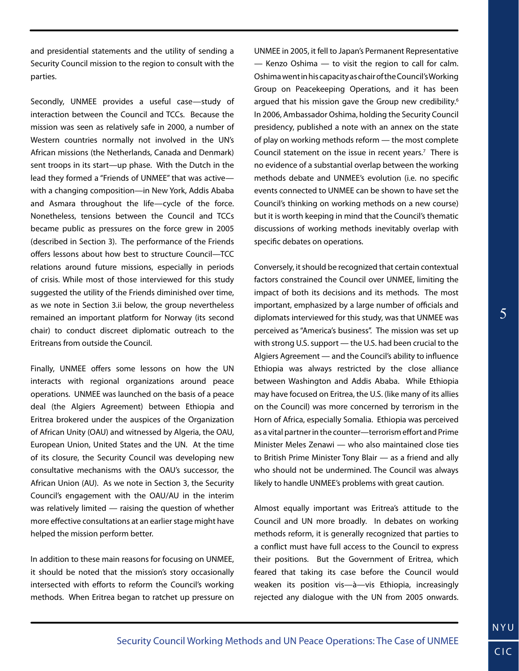and presidential statements and the utility of sending a Security Council mission to the region to consult with the parties.

Secondly, UNMEE provides a useful case—study of interaction between the Council and TCCs. Because the mission was seen as relatively safe in 2000, a number of Western countries normally not involved in the UN's African missions (the Netherlands, Canada and Denmark) sent troops in its start—up phase. With the Dutch in the lead they formed a "Friends of UNMEE" that was active with a changing composition—in New York, Addis Ababa and Asmara throughout the life—cycle of the force. Nonetheless, tensions between the Council and TCCs became public as pressures on the force grew in 2005 (described in Section 3). The performance of the Friends offers lessons about how best to structure Council—TCC relations around future missions, especially in periods of crisis. While most of those interviewed for this study suggested the utility of the Friends diminished over time, as we note in Section 3.ii below, the group nevertheless remained an important platform for Norway (its second chair) to conduct discreet diplomatic outreach to the Eritreans from outside the Council.

Finally, UNMEE offers some lessons on how the UN interacts with regional organizations around peace operations. UNMEE was launched on the basis of a peace deal (the Algiers Agreement) between Ethiopia and Eritrea brokered under the auspices of the Organization of African Unity (OAU) and witnessed by Algeria, the OAU, European Union, United States and the UN. At the time of its closure, the Security Council was developing new consultative mechanisms with the OAU's successor, the African Union (AU). As we note in Section 3, the Security Council's engagement with the OAU/AU in the interim was relatively limited — raising the question of whether more effective consultations at an earlier stage might have helped the mission perform better.

In addition to these main reasons for focusing on UNMEE, it should be noted that the mission's story occasionally intersected with efforts to reform the Council's working methods. When Eritrea began to ratchet up pressure on

UNMEE in 2005, it fell to Japan's Permanent Representative — Kenzo Oshima — to visit the region to call for calm. Oshima went in his capacity as chair of the Council's Working Group on Peacekeeping Operations, and it has been argued that his mission gave the Group new credibility.<sup>6</sup> In 2006, Ambassador Oshima, holding the Security Council presidency, published a note with an annex on the state of play on working methods reform — the most complete Council statement on the issue in recent years. $<sup>7</sup>$  There is</sup> no evidence of a substantial overlap between the working methods debate and UNMEE's evolution (i.e. no specific events connected to UNMEE can be shown to have set the Council's thinking on working methods on a new course) but it is worth keeping in mind that the Council's thematic discussions of working methods inevitably overlap with specific debates on operations.

Conversely, it should be recognized that certain contextual factors constrained the Council over UNMEE, limiting the impact of both its decisions and its methods. The most important, emphasized by a large number of officials and diplomats interviewed for this study, was that UNMEE was perceived as "America's business". The mission was set up with strong U.S. support — the U.S. had been crucial to the Algiers Agreement — and the Council's ability to influence Ethiopia was always restricted by the close alliance between Washington and Addis Ababa. While Ethiopia may have focused on Eritrea, the U.S. (like many of its allies on the Council) was more concerned by terrorism in the Horn of Africa, especially Somalia. Ethiopia was perceived as a vital partner in the counter—terrorism effort and Prime Minister Meles Zenawi — who also maintained close ties to British Prime Minister Tony Blair — as a friend and ally who should not be undermined. The Council was always likely to handle UNMEE's problems with great caution.

Almost equally important was Eritrea's attitude to the Council and UN more broadly. In debates on working methods reform, it is generally recognized that parties to a conflict must have full access to the Council to express their positions. But the Government of Eritrea, which feared that taking its case before the Council would weaken its position vis—à—vis Ethiopia, increasingly rejected any dialogue with the UN from 2005 onwards. 5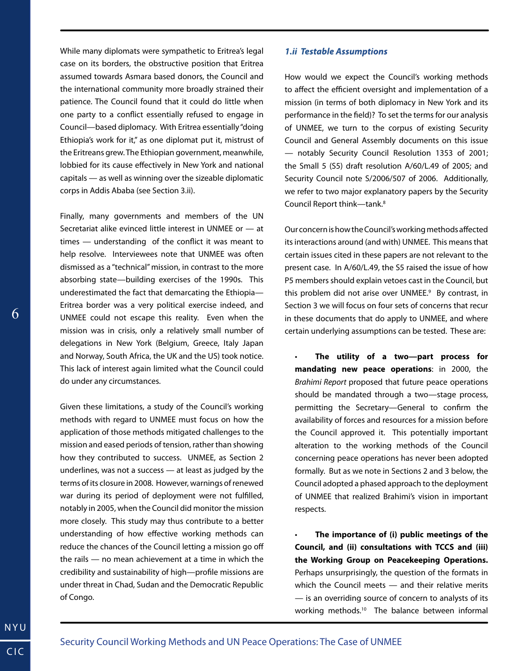While many diplomats were sympathetic to Eritrea's legal case on its borders, the obstructive position that Eritrea assumed towards Asmara based donors, the Council and the international community more broadly strained their patience. The Council found that it could do little when one party to a conflict essentially refused to engage in Council—based diplomacy. With Eritrea essentially "doing Ethiopia's work for it," as one diplomat put it, mistrust of the Eritreans grew. The Ethiopian government, meanwhile, lobbied for its cause effectively in New York and national capitals — as well as winning over the sizeable diplomatic corps in Addis Ababa (see Section 3.ii).

Finally, many governments and members of the UN Secretariat alike evinced little interest in UNMEE or — at times — understanding of the conflict it was meant to help resolve. Interviewees note that UNMEE was often dismissed as a "technical" mission, in contrast to the more absorbing state—building exercises of the 1990s. This underestimated the fact that demarcating the Ethiopia— Eritrea border was a very political exercise indeed, and UNMEE could not escape this reality. Even when the mission was in crisis, only a relatively small number of delegations in New York (Belgium, Greece, Italy Japan and Norway, South Africa, the UK and the US) took notice. This lack of interest again limited what the Council could do under any circumstances.

Given these limitations, a study of the Council's working methods with regard to UNMEE must focus on how the application of those methods mitigated challenges to the mission and eased periods of tension, rather than showing how they contributed to success. UNMEE, as Section 2 underlines, was not a success — at least as judged by the terms of its closure in 2008. However, warnings of renewed war during its period of deployment were not fulfilled, notably in 2005, when the Council did monitor the mission more closely. This study may thus contribute to a better understanding of how effective working methods can reduce the chances of the Council letting a mission go off the rails — no mean achievement at a time in which the credibility and sustainability of high—profile missions are under threat in Chad, Sudan and the Democratic Republic of Congo.

#### *1.ii Testable Assumptions*

How would we expect the Council's working methods to affect the efficient oversight and implementation of a mission (in terms of both diplomacy in New York and its performance in the field)? To set the terms for our analysis of UNMEE, we turn to the corpus of existing Security Council and General Assembly documents on this issue — notably Security Council Resolution 1353 of 2001; the Small 5 (S5) draft resolution A/60/L.49 of 2005; and Security Council note S/2006/507 of 2006. Additionally, we refer to two major explanatory papers by the Security Council Report think—tank.8

Our concern is how the Council's working methods affected its interactions around (and with) UNMEE. This means that certain issues cited in these papers are not relevant to the present case. In A/60/L.49, the S5 raised the issue of how P5 members should explain vetoes cast in the Council, but this problem did not arise over UNMEE.<sup>9</sup> By contrast, in Section 3 we will focus on four sets of concerns that recur in these documents that do apply to UNMEE, and where certain underlying assumptions can be tested. These are:

The utility of a two-part process for **mandating new peace operations**: in 2000, the *Brahimi Report* proposed that future peace operations should be mandated through a two—stage process, permitting the Secretary—General to confirm the availability of forces and resources for a mission before the Council approved it. This potentially important alteration to the working methods of the Council concerning peace operations has never been adopted formally. But as we note in Sections 2 and 3 below, the Council adopted a phased approach to the deployment of UNMEE that realized Brahimi's vision in important respects.

The importance of (i) public meetings of the **Council, and (ii) consultations with TCCS and (iii) the Working Group on Peacekeeping Operations.** Perhaps unsurprisingly, the question of the formats in which the Council meets — and their relative merits — is an overriding source of concern to analysts of its working methods.<sup>10</sup> The balance between informal

NYU

CIC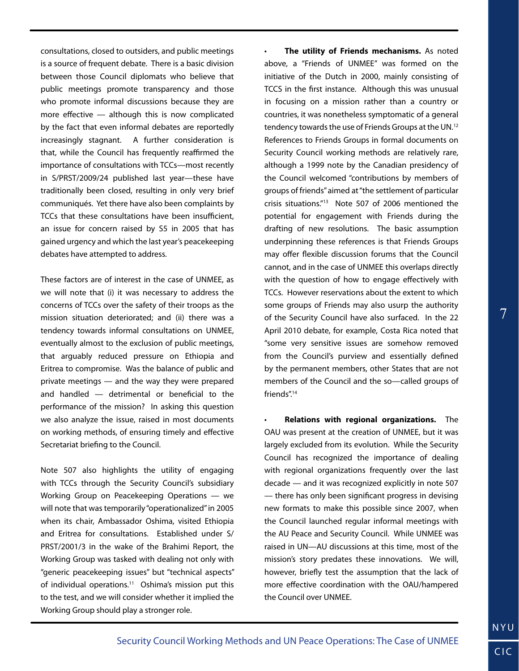consultations, closed to outsiders, and public meetings is a source of frequent debate. There is a basic division between those Council diplomats who believe that public meetings promote transparency and those who promote informal discussions because they are more effective — although this is now complicated by the fact that even informal debates are reportedly increasingly stagnant. A further consideration is that, while the Council has frequently reaffirmed the importance of consultations with TCCs—most recently in S/PRST/2009/24 published last year—these have traditionally been closed, resulting in only very brief communiqués. Yet there have also been complaints by TCCs that these consultations have been insufficient, an issue for concern raised by S5 in 2005 that has gained urgency and which the last year's peacekeeping debates have attempted to address.

These factors are of interest in the case of UNMEE, as we will note that (i) it was necessary to address the concerns of TCCs over the safety of their troops as the mission situation deteriorated; and (ii) there was a tendency towards informal consultations on UNMEE, eventually almost to the exclusion of public meetings, that arguably reduced pressure on Ethiopia and Eritrea to compromise. Was the balance of public and private meetings — and the way they were prepared and handled — detrimental or beneficial to the performance of the mission? In asking this question we also analyze the issue, raised in most documents on working methods, of ensuring timely and effective Secretariat briefing to the Council.

Note 507 also highlights the utility of engaging with TCCs through the Security Council's subsidiary Working Group on Peacekeeping Operations — we will note that was temporarily "operationalized" in 2005 when its chair, Ambassador Oshima, visited Ethiopia and Eritrea for consultations. Established under S/ PRST/2001/3 in the wake of the Brahimi Report, the Working Group was tasked with dealing not only with "generic peacekeeping issues" but "technical aspects" of individual operations.<sup>11</sup> Oshima's mission put this to the test, and we will consider whether it implied the Working Group should play a stronger role.

**The utility of Friends mechanisms.** As noted above, a "Friends of UNMEE" was formed on the initiative of the Dutch in 2000, mainly consisting of TCCS in the first instance. Although this was unusual in focusing on a mission rather than a country or countries, it was nonetheless symptomatic of a general tendency towards the use of Friends Groups at the UN.12 References to Friends Groups in formal documents on Security Council working methods are relatively rare, although a 1999 note by the Canadian presidency of the Council welcomed "contributions by members of groups of friends" aimed at "the settlement of particular crisis situations."13 Note 507 of 2006 mentioned the potential for engagement with Friends during the drafting of new resolutions. The basic assumption underpinning these references is that Friends Groups may offer flexible discussion forums that the Council cannot, and in the case of UNMEE this overlaps directly with the question of how to engage effectively with TCCs. However reservations about the extent to which some groups of Friends may also usurp the authority of the Security Council have also surfaced. In the 22 April 2010 debate, for example, Costa Rica noted that "some very sensitive issues are somehow removed from the Council's purview and essentially defined by the permanent members, other States that are not members of the Council and the so—called groups of friends".14

**Relations with regional organizations.** The OAU was present at the creation of UNMEE, but it was largely excluded from its evolution. While the Security Council has recognized the importance of dealing with regional organizations frequently over the last decade — and it was recognized explicitly in note 507 — there has only been significant progress in devising new formats to make this possible since 2007, when the Council launched regular informal meetings with the AU Peace and Security Council. While UNMEE was raised in UN—AU discussions at this time, most of the mission's story predates these innovations. We will, however, briefly test the assumption that the lack of more effective coordination with the OAU/hampered the Council over UNMEE.

NYU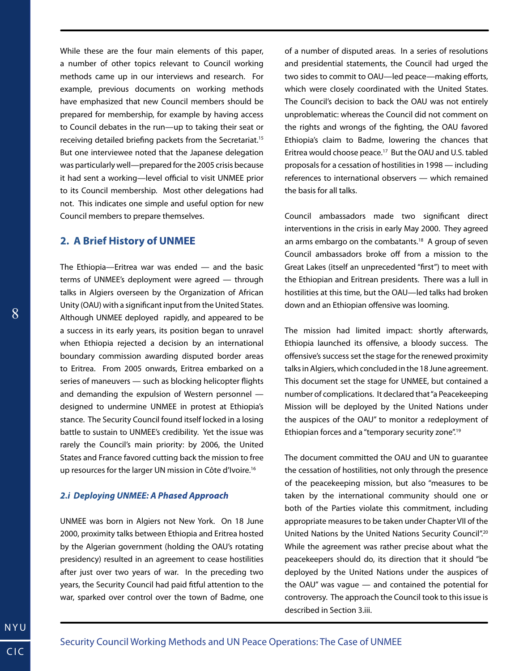While these are the four main elements of this paper, a number of other topics relevant to Council working methods came up in our interviews and research. For example, previous documents on working methods have emphasized that new Council members should be prepared for membership, for example by having access to Council debates in the run—up to taking their seat or receiving detailed briefing packets from the Secretariat.<sup>15</sup> But one interviewee noted that the Japanese delegation was particularly well—prepared for the 2005 crisis because it had sent a working—level official to visit UNMEE prior to its Council membership. Most other delegations had not. This indicates one simple and useful option for new Council members to prepare themselves.

#### **2. A Brief History of UNMEE**

The Ethiopia—Eritrea war was ended — and the basic terms of UNMEE's deployment were agreed — through talks in Algiers overseen by the Organization of African Unity (OAU) with a significant input from the United States. Although UNMEE deployed rapidly, and appeared to be a success in its early years, its position began to unravel when Ethiopia rejected a decision by an international boundary commission awarding disputed border areas to Eritrea. From 2005 onwards, Eritrea embarked on a series of maneuvers — such as blocking helicopter flights and demanding the expulsion of Western personnel designed to undermine UNMEE in protest at Ethiopia's stance. The Security Council found itself locked in a losing battle to sustain to UNMEE's credibility. Yet the issue was rarely the Council's main priority: by 2006, the United States and France favored cutting back the mission to free up resources for the larger UN mission in Côte d'Ivoire.16

#### *2.i Deploying UNMEE: A Phased Approach*

UNMEE was born in Algiers not New York. On 18 June 2000, proximity talks between Ethiopia and Eritrea hosted by the Algerian government (holding the OAU's rotating presidency) resulted in an agreement to cease hostilities after just over two years of war. In the preceding two years, the Security Council had paid fitful attention to the war, sparked over control over the town of Badme, one of a number of disputed areas. In a series of resolutions and presidential statements, the Council had urged the two sides to commit to OAU—led peace—making efforts, which were closely coordinated with the United States. The Council's decision to back the OAU was not entirely unproblematic: whereas the Council did not comment on the rights and wrongs of the fighting, the OAU favored Ethiopia's claim to Badme, lowering the chances that Eritrea would choose peace.<sup>17</sup> But the OAU and U.S. tabled proposals for a cessation of hostilities in 1998 — including references to international observers — which remained the basis for all talks.

Council ambassadors made two significant direct interventions in the crisis in early May 2000. They agreed an arms embargo on the combatants.<sup>18</sup> A group of seven Council ambassadors broke off from a mission to the Great Lakes (itself an unprecedented "first") to meet with the Ethiopian and Eritrean presidents. There was a lull in hostilities at this time, but the OAU—led talks had broken down and an Ethiopian offensive was looming.

The mission had limited impact: shortly afterwards, Ethiopia launched its offensive, a bloody success. The offensive's success set the stage for the renewed proximity talks in Algiers, which concluded in the 18 June agreement. This document set the stage for UNMEE, but contained a number of complications. It declared that "a Peacekeeping Mission will be deployed by the United Nations under the auspices of the OAU" to monitor a redeployment of Ethiopian forces and a "temporary security zone".<sup>19</sup>

The document committed the OAU and UN to guarantee the cessation of hostilities, not only through the presence of the peacekeeping mission, but also "measures to be taken by the international community should one or both of the Parties violate this commitment, including appropriate measures to be taken under Chapter VII of the United Nations by the United Nations Security Council".20 While the agreement was rather precise about what the peacekeepers should do, its direction that it should "be deployed by the United Nations under the auspices of the OAU" was vague — and contained the potential for controversy. The approach the Council took to this issue is described in Section 3.iii.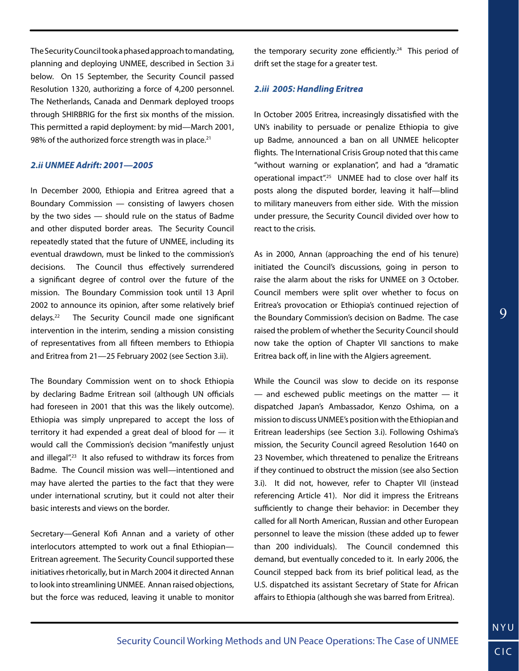The Security Council took a phased approach to mandating, planning and deploying UNMEE, described in Section 3.i below. On 15 September, the Security Council passed Resolution 1320, authorizing a force of 4,200 personnel. The Netherlands, Canada and Denmark deployed troops through SHIRBRIG for the first six months of the mission. This permitted a rapid deployment: by mid—March 2001, 98% of the authorized force strength was in place.<sup>21</sup>

#### *2.ii UNMEE Adrift: 2001—2005*

In December 2000, Ethiopia and Eritrea agreed that a Boundary Commission — consisting of lawyers chosen by the two sides — should rule on the status of Badme and other disputed border areas. The Security Council repeatedly stated that the future of UNMEE, including its eventual drawdown, must be linked to the commission's decisions. The Council thus effectively surrendered a significant degree of control over the future of the mission. The Boundary Commission took until 13 April 2002 to announce its opinion, after some relatively brief delays.22 The Security Council made one significant intervention in the interim, sending a mission consisting of representatives from all fifteen members to Ethiopia and Eritrea from 21—25 February 2002 (see Section 3.ii).

The Boundary Commission went on to shock Ethiopia by declaring Badme Eritrean soil (although UN officials had foreseen in 2001 that this was the likely outcome). Ethiopia was simply unprepared to accept the loss of territory it had expended a great deal of blood for — it would call the Commission's decision "manifestly unjust and illegal".<sup>23</sup> It also refused to withdraw its forces from Badme. The Council mission was well—intentioned and may have alerted the parties to the fact that they were under international scrutiny, but it could not alter their basic interests and views on the border.

Secretary—General Kofi Annan and a variety of other interlocutors attempted to work out a final Ethiopian— Eritrean agreement. The Security Council supported these initiatives rhetorically, but in March 2004 it directed Annan to look into streamlining UNMEE. Annan raised objections, but the force was reduced, leaving it unable to monitor the temporary security zone efficiently.<sup>24</sup> This period of drift set the stage for a greater test.

#### *2.iii 2005: Handling Eritrea*

In October 2005 Eritrea, increasingly dissatisfied with the UN's inability to persuade or penalize Ethiopia to give up Badme, announced a ban on all UNMEE helicopter flights. The International Crisis Group noted that this came "without warning or explanation", and had a "dramatic operational impact".<sup>25</sup> UNMEE had to close over half its posts along the disputed border, leaving it half—blind to military maneuvers from either side. With the mission under pressure, the Security Council divided over how to react to the crisis.

As in 2000, Annan (approaching the end of his tenure) initiated the Council's discussions, going in person to raise the alarm about the risks for UNMEE on 3 October. Council members were split over whether to focus on Eritrea's provocation or Ethiopia's continued rejection of the Boundary Commission's decision on Badme. The case raised the problem of whether the Security Council should now take the option of Chapter VII sanctions to make Eritrea back off, in line with the Algiers agreement.

While the Council was slow to decide on its response  $-$  and eschewed public meetings on the matter  $-$  it dispatched Japan's Ambassador, Kenzo Oshima, on a mission to discuss UNMEE's position with the Ethiopian and Eritrean leaderships (see Section 3.i). Following Oshima's mission, the Security Council agreed Resolution 1640 on 23 November, which threatened to penalize the Eritreans if they continued to obstruct the mission (see also Section 3.i). It did not, however, refer to Chapter VII (instead referencing Article 41). Nor did it impress the Eritreans sufficiently to change their behavior: in December they called for all North American, Russian and other European personnel to leave the mission (these added up to fewer than 200 individuals). The Council condemned this demand, but eventually conceded to it. In early 2006, the Council stepped back from its brief political lead, as the U.S. dispatched its assistant Secretary of State for African affairs to Ethiopia (although she was barred from Eritrea).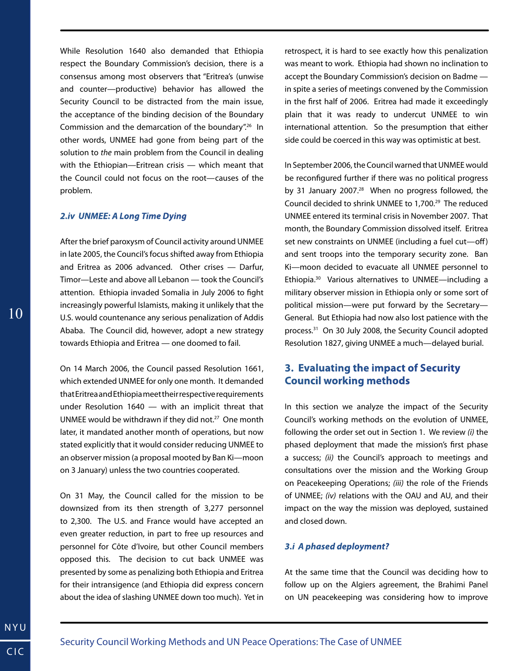While Resolution 1640 also demanded that Ethiopia respect the Boundary Commission's decision, there is a consensus among most observers that "Eritrea's (unwise and counter—productive) behavior has allowed the Security Council to be distracted from the main issue, the acceptance of the binding decision of the Boundary Commission and the demarcation of the boundary".26 In other words, UNMEE had gone from being part of the solution to *the* main problem from the Council in dealing with the Ethiopian—Eritrean crisis — which meant that the Council could not focus on the root—causes of the problem.

#### *2.iv UNMEE: A Long Time Dying*

After the brief paroxysm of Council activity around UNMEE in late 2005, the Council's focus shifted away from Ethiopia and Eritrea as 2006 advanced. Other crises — Darfur, Timor—Leste and above all Lebanon — took the Council's attention. Ethiopia invaded Somalia in July 2006 to fight increasingly powerful Islamists, making it unlikely that the U.S. would countenance any serious penalization of Addis Ababa. The Council did, however, adopt a new strategy towards Ethiopia and Eritrea — one doomed to fail.

On 14 March 2006, the Council passed Resolution 1661, which extended UNMEE for only one month. It demanded that Eritrea and Ethiopia meet their respective requirements under Resolution 1640 — with an implicit threat that UNMEE would be withdrawn if they did not.<sup>27</sup> One month later, it mandated another month of operations, but now stated explicitly that it would consider reducing UNMEE to an observer mission (a proposal mooted by Ban Ki—moon on 3 January) unless the two countries cooperated.

On 31 May, the Council called for the mission to be downsized from its then strength of 3,277 personnel to 2,300. The U.S. and France would have accepted an even greater reduction, in part to free up resources and personnel for Côte d'Ivoire, but other Council members opposed this. The decision to cut back UNMEE was presented by some as penalizing both Ethiopia and Eritrea for their intransigence (and Ethiopia did express concern about the idea of slashing UNMEE down too much). Yet in

retrospect, it is hard to see exactly how this penalization was meant to work. Ethiopia had shown no inclination to accept the Boundary Commission's decision on Badme in spite a series of meetings convened by the Commission in the first half of 2006. Eritrea had made it exceedingly plain that it was ready to undercut UNMEE to win international attention. So the presumption that either side could be coerced in this way was optimistic at best.

In September 2006, the Council warned that UNMEE would be reconfigured further if there was no political progress by 31 January 2007.<sup>28</sup> When no progress followed, the Council decided to shrink UNMEE to 1,700.<sup>29</sup> The reduced UNMEE entered its terminal crisis in November 2007. That month, the Boundary Commission dissolved itself. Eritrea set new constraints on UNMEE (including a fuel cut—off) and sent troops into the temporary security zone. Ban Ki—moon decided to evacuate all UNMEE personnel to Ethiopia.30 Various alternatives to UNMEE—including a military observer mission in Ethiopia only or some sort of political mission—were put forward by the Secretary— General. But Ethiopia had now also lost patience with the process.31 On 30 July 2008, the Security Council adopted Resolution 1827, giving UNMEE a much—delayed burial.

## **3. Evaluating the impact of Security Council working methods**

In this section we analyze the impact of the Security Council's working methods on the evolution of UNMEE, following the order set out in Section 1. We review *(i)* the phased deployment that made the mission's first phase a success; *(ii)* the Council's approach to meetings and consultations over the mission and the Working Group on Peacekeeping Operations; *(iii)* the role of the Friends of UNMEE; *(iv)* relations with the OAU and AU, and their impact on the way the mission was deployed, sustained and closed down.

#### *3.i A phased deployment?*

At the same time that the Council was deciding how to follow up on the Algiers agreement, the Brahimi Panel on UN peacekeeping was considering how to improve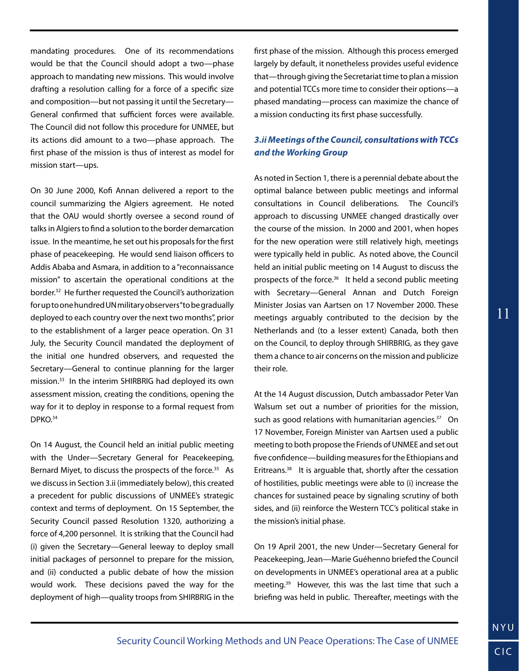mandating procedures. One of its recommendations would be that the Council should adopt a two—phase approach to mandating new missions. This would involve drafting a resolution calling for a force of a specific size and composition—but not passing it until the Secretary— General confirmed that sufficient forces were available. The Council did not follow this procedure for UNMEE, but its actions did amount to a two—phase approach. The first phase of the mission is thus of interest as model for mission start—ups.

On 30 June 2000, Kofi Annan delivered a report to the council summarizing the Algiers agreement. He noted that the OAU would shortly oversee a second round of talks in Algiers to find a solution to the border demarcation issue. In the meantime, he set out his proposals for the first phase of peacekeeping. He would send liaison officers to Addis Ababa and Asmara, in addition to a "reconnaissance mission" to ascertain the operational conditions at the border.32 He further requested the Council's authorization for up to one hundred UN military observers "to be gradually deployed to each country over the next two months", prior to the establishment of a larger peace operation. On 31 July, the Security Council mandated the deployment of the initial one hundred observers, and requested the Secretary—General to continue planning for the larger mission.33 In the interim SHIRBRIG had deployed its own assessment mission, creating the conditions, opening the way for it to deploy in response to a formal request from DPKO.<sup>34</sup>

On 14 August, the Council held an initial public meeting with the Under—Secretary General for Peacekeeping, Bernard Miyet, to discuss the prospects of the force.<sup>35</sup> As we discuss in Section 3.ii (immediately below), this created a precedent for public discussions of UNMEE's strategic context and terms of deployment. On 15 September, the Security Council passed Resolution 1320, authorizing a force of 4,200 personnel. It is striking that the Council had (i) given the Secretary—General leeway to deploy small initial packages of personnel to prepare for the mission, and (ii) conducted a public debate of how the mission would work. These decisions paved the way for the deployment of high—quality troops from SHIRBRIG in the

first phase of the mission. Although this process emerged largely by default, it nonetheless provides useful evidence that—through giving the Secretariat time to plan a mission and potential TCCs more time to consider their options—a phased mandating—process can maximize the chance of a mission conducting its first phase successfully.

## *3.ii Meetings of the Council, consultations with TCCs and the Working Group*

As noted in Section 1, there is a perennial debate about the optimal balance between public meetings and informal consultations in Council deliberations. The Council's approach to discussing UNMEE changed drastically over the course of the mission. In 2000 and 2001, when hopes for the new operation were still relatively high, meetings were typically held in public. As noted above, the Council held an initial public meeting on 14 August to discuss the prospects of the force.<sup>36</sup> It held a second public meeting with Secretary—General Annan and Dutch Foreign Minister Josias van Aartsen on 17 November 2000. These meetings arguably contributed to the decision by the Netherlands and (to a lesser extent) Canada, both then on the Council, to deploy through SHIRBRIG, as they gave them a chance to air concerns on the mission and publicize their role.

At the 14 August discussion, Dutch ambassador Peter Van Walsum set out a number of priorities for the mission, such as good relations with humanitarian agencies.<sup>37</sup> On 17 November, Foreign Minister van Aartsen used a public meeting to both propose the Friends of UNMEE and set out five confidence—building measures for the Ethiopians and Eritreans.<sup>38</sup> It is arguable that, shortly after the cessation of hostilities, public meetings were able to (i) increase the chances for sustained peace by signaling scrutiny of both sides, and (ii) reinforce the Western TCC's political stake in the mission's initial phase.

On 19 April 2001, the new Under—Secretary General for Peacekeeping, Jean—Marie Guéhenno briefed the Council on developments in UNMEE's operational area at a public meeting.<sup>39</sup> However, this was the last time that such a briefing was held in public. Thereafter, meetings with the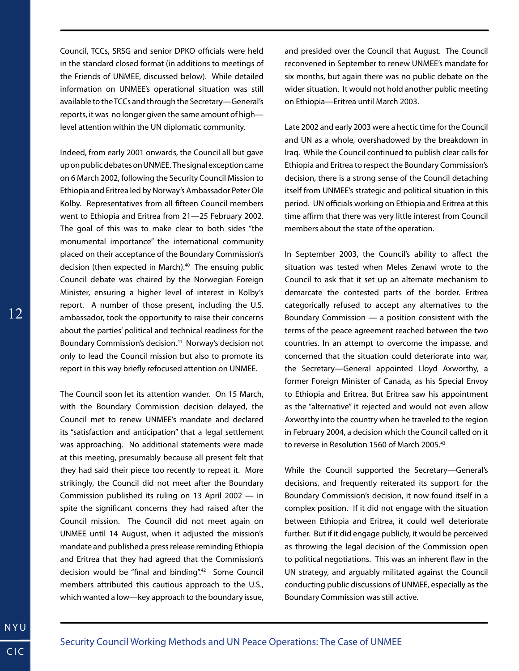12

Council, TCCs, SRSG and senior DPKO officials were held in the standard closed format (in additions to meetings of the Friends of UNMEE, discussed below). While detailed information on UNMEE's operational situation was still available to the TCCs and through the Secretary—General's reports, it was no longer given the same amount of high level attention within the UN diplomatic community.

Indeed, from early 2001 onwards, the Council all but gave up on public debates on UNMEE. The signal exception came on 6 March 2002, following the Security Council Mission to Ethiopia and Eritrea led by Norway's Ambassador Peter Ole Kolby. Representatives from all fifteen Council members went to Ethiopia and Eritrea from 21—25 February 2002. The goal of this was to make clear to both sides "the monumental importance" the international community placed on their acceptance of the Boundary Commission's decision (then expected in March).<sup>40</sup> The ensuing public Council debate was chaired by the Norwegian Foreign Minister, ensuring a higher level of interest in Kolby's report. A number of those present, including the U.S. ambassador, took the opportunity to raise their concerns about the parties' political and technical readiness for the Boundary Commission's decision.41 Norway's decision not only to lead the Council mission but also to promote its report in this way briefly refocused attention on UNMEE.

The Council soon let its attention wander. On 15 March, with the Boundary Commission decision delayed, the Council met to renew UNMEE's mandate and declared its "satisfaction and anticipation" that a legal settlement was approaching. No additional statements were made at this meeting, presumably because all present felt that they had said their piece too recently to repeat it. More strikingly, the Council did not meet after the Boundary Commission published its ruling on 13 April 2002 — in spite the significant concerns they had raised after the Council mission. The Council did not meet again on UNMEE until 14 August, when it adjusted the mission's mandate and published a press release reminding Ethiopia and Eritrea that they had agreed that the Commission's decision would be "final and binding".42 Some Council members attributed this cautious approach to the U.S., which wanted a low—key approach to the boundary issue,

and presided over the Council that August. The Council reconvened in September to renew UNMEE's mandate for six months, but again there was no public debate on the wider situation. It would not hold another public meeting on Ethiopia—Eritrea until March 2003.

Late 2002 and early 2003 were a hectic time for the Council and UN as a whole, overshadowed by the breakdown in Iraq. While the Council continued to publish clear calls for Ethiopia and Eritrea to respect the Boundary Commission's decision, there is a strong sense of the Council detaching itself from UNMEE's strategic and political situation in this period. UN officials working on Ethiopia and Eritrea at this time affirm that there was very little interest from Council members about the state of the operation.

In September 2003, the Council's ability to affect the situation was tested when Meles Zenawi wrote to the Council to ask that it set up an alternate mechanism to demarcate the contested parts of the border. Eritrea categorically refused to accept any alternatives to the Boundary Commission — a position consistent with the terms of the peace agreement reached between the two countries. In an attempt to overcome the impasse, and concerned that the situation could deteriorate into war, the Secretary—General appointed Lloyd Axworthy, a former Foreign Minister of Canada, as his Special Envoy to Ethiopia and Eritrea. But Eritrea saw his appointment as the "alternative" it rejected and would not even allow Axworthy into the country when he traveled to the region in February 2004, a decision which the Council called on it to reverse in Resolution 1560 of March 2005.<sup>43</sup>

While the Council supported the Secretary—General's decisions, and frequently reiterated its support for the Boundary Commission's decision, it now found itself in a complex position. If it did not engage with the situation between Ethiopia and Eritrea, it could well deteriorate further. But if it did engage publicly, it would be perceived as throwing the legal decision of the Commission open to political negotiations. This was an inherent flaw in the UN strategy, and arguably militated against the Council conducting public discussions of UNMEE, especially as the Boundary Commission was still active.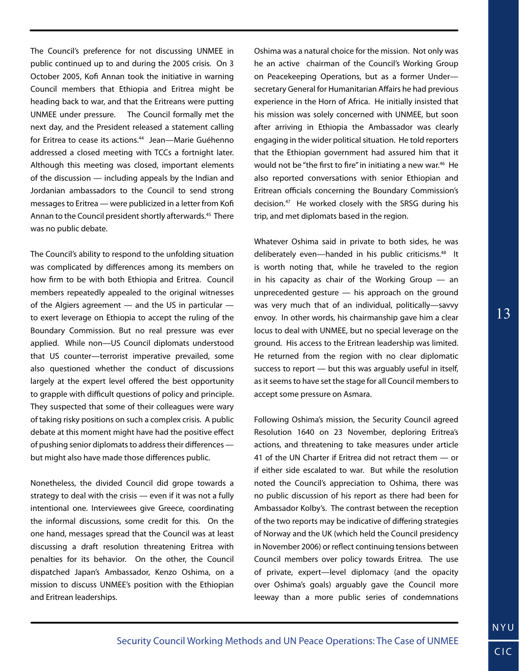The Council's preference for not discussing UNMEE in public continued up to and during the 2005 crisis. On 3 October 2005, Kofi Annan took the initiative in warning Council members that Ethiopia and Eritrea might be heading back to war, and that the Eritreans were putting UNMEE under pressure. The Council formally met the next day, and the President released a statement calling for Eritrea to cease its actions.<sup>44</sup> Jean-Marie Guéhenno addressed a closed meeting with TCCs a fortnight later. Although this meeting was closed, important elements of the discussion — including appeals by the Indian and Jordanian ambassadors to the Council to send strong messages to Eritrea — were publicized in a letter from Kofi Annan to the Council president shortly afterwards.<sup>45</sup> There was no public debate.

The Council's ability to respond to the unfolding situation was complicated by differences among its members on how firm to be with both Ethiopia and Eritrea. Council members repeatedly appealed to the original witnesses of the Algiers agreement — and the US in particular to exert leverage on Ethiopia to accept the ruling of the Boundary Commission. But no real pressure was ever applied. While non—US Council diplomats understood that US counter—terrorist imperative prevailed, some also questioned whether the conduct of discussions largely at the expert level offered the best opportunity to grapple with difficult questions of policy and principle. They suspected that some of their colleagues were wary of taking risky positions on such a complex crisis. A public debate at this moment might have had the positive effect of pushing senior diplomats to address their differences but might also have made those differences public.

Nonetheless, the divided Council did grope towards a strategy to deal with the crisis — even if it was not a fully intentional one. Interviewees give Greece, coordinating the informal discussions, some credit for this. On the one hand, messages spread that the Council was at least discussing a draft resolution threatening Eritrea with penalties for its behavior. On the other, the Council dispatched Japan's Ambassador, Kenzo Oshima, on a mission to discuss UNMEE's position with the Ethiopian and Eritrean leaderships.

Oshima was a natural choice for the mission. Not only was he an active chairman of the Council's Working Group on Peacekeeping Operations, but as a former Under secretary General for Humanitarian Affairs he had previous experience in the Horn of Africa. He initially insisted that his mission was solely concerned with UNMEE, but soon after arriving in Ethiopia the Ambassador was clearly engaging in the wider political situation. He told reporters that the Ethiopian government had assured him that it would not be "the first to fire" in initiating a new war.<sup>46</sup> He also reported conversations with senior Ethiopian and Eritrean officials concerning the Boundary Commission's decision.47 He worked closely with the SRSG during his trip, and met diplomats based in the region.

Whatever Oshima said in private to both sides, he was deliberately even—handed in his public criticisms.<sup>48</sup> It is worth noting that, while he traveled to the region in his capacity as chair of the Working Group  $-$  an unprecedented gesture — his approach on the ground was very much that of an individual, politically—savvy envoy. In other words, his chairmanship gave him a clear locus to deal with UNMEE, but no special leverage on the ground. His access to the Eritrean leadership was limited. He returned from the region with no clear diplomatic success to report — but this was arguably useful in itself, as it seems to have set the stage for all Council members to accept some pressure on Asmara.

Following Oshima's mission, the Security Council agreed Resolution 1640 on 23 November, deploring Eritrea's actions, and threatening to take measures under article 41 of the UN Charter if Eritrea did not retract them — or if either side escalated to war. But while the resolution noted the Council's appreciation to Oshima, there was no public discussion of his report as there had been for Ambassador Kolby's. The contrast between the reception of the two reports may be indicative of differing strategies of Norway and the UK (which held the Council presidency in November 2006) or reflect continuing tensions between Council members over policy towards Eritrea. The use of private, expert—level diplomacy (and the opacity over Oshima's goals) arguably gave the Council more leeway than a more public series of condemnations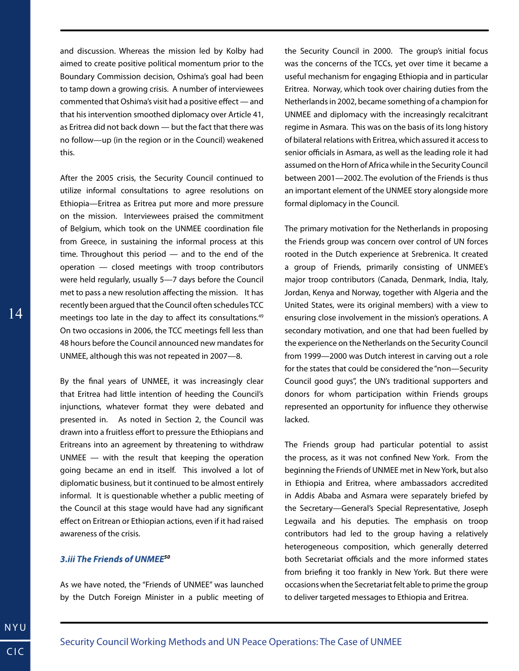and discussion. Whereas the mission led by Kolby had aimed to create positive political momentum prior to the Boundary Commission decision, Oshima's goal had been to tamp down a growing crisis. A number of interviewees commented that Oshima's visit had a positive effect — and that his intervention smoothed diplomacy over Article 41, as Eritrea did not back down — but the fact that there was no follow—up (in the region or in the Council) weakened this.

After the 2005 crisis, the Security Council continued to utilize informal consultations to agree resolutions on Ethiopia—Eritrea as Eritrea put more and more pressure on the mission. Interviewees praised the commitment of Belgium, which took on the UNMEE coordination file from Greece, in sustaining the informal process at this time. Throughout this period — and to the end of the operation — closed meetings with troop contributors were held regularly, usually 5—7 days before the Council met to pass a new resolution affecting the mission. It has recently been argued that the Council often schedules TCC meetings too late in the day to affect its consultations.49 On two occasions in 2006, the TCC meetings fell less than 48 hours before the Council announced new mandates for UNMEE, although this was not repeated in 2007—8.

By the final years of UNMEE, it was increasingly clear that Eritrea had little intention of heeding the Council's injunctions, whatever format they were debated and presented in. As noted in Section 2, the Council was drawn into a fruitless effort to pressure the Ethiopians and Eritreans into an agreement by threatening to withdraw UNMEE — with the result that keeping the operation going became an end in itself. This involved a lot of diplomatic business, but it continued to be almost entirely informal. It is questionable whether a public meeting of the Council at this stage would have had any significant effect on Eritrean or Ethiopian actions, even if it had raised awareness of the crisis.

#### *3.iii The Friends of UNMEE50*

As we have noted, the "Friends of UNMEE" was launched by the Dutch Foreign Minister in a public meeting of

the Security Council in 2000. The group's initial focus was the concerns of the TCCs, yet over time it became a useful mechanism for engaging Ethiopia and in particular Eritrea. Norway, which took over chairing duties from the Netherlands in 2002, became something of a champion for UNMEE and diplomacy with the increasingly recalcitrant regime in Asmara. This was on the basis of its long history of bilateral relations with Eritrea, which assured it access to senior officials in Asmara, as well as the leading role it had assumed on the Horn of Africa while in the Security Council between 2001—2002. The evolution of the Friends is thus an important element of the UNMEE story alongside more formal diplomacy in the Council.

The primary motivation for the Netherlands in proposing the Friends group was concern over control of UN forces rooted in the Dutch experience at Srebrenica. It created a group of Friends, primarily consisting of UNMEE's major troop contributors (Canada, Denmark, India, Italy, Jordan, Kenya and Norway, together with Algeria and the United States, were its original members) with a view to ensuring close involvement in the mission's operations. A secondary motivation, and one that had been fuelled by the experience on the Netherlands on the Security Council from 1999—2000 was Dutch interest in carving out a role for the states that could be considered the "non—Security Council good guys", the UN's traditional supporters and donors for whom participation within Friends groups represented an opportunity for influence they otherwise lacked.

The Friends group had particular potential to assist the process, as it was not confined New York. From the beginning the Friends of UNMEE met in New York, but also in Ethiopia and Eritrea, where ambassadors accredited in Addis Ababa and Asmara were separately briefed by the Secretary—General's Special Representative, Joseph Legwaila and his deputies. The emphasis on troop contributors had led to the group having a relatively heterogeneous composition, which generally deterred both Secretariat officials and the more informed states from briefing it too frankly in New York. But there were occasions when the Secretariat felt able to prime the group to deliver targeted messages to Ethiopia and Eritrea.

14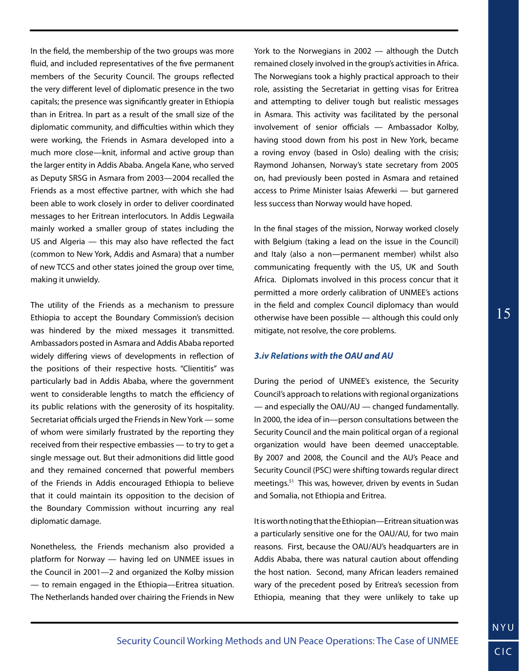In the field, the membership of the two groups was more fluid, and included representatives of the five permanent members of the Security Council. The groups reflected the very different level of diplomatic presence in the two capitals; the presence was significantly greater in Ethiopia than in Eritrea. In part as a result of the small size of the diplomatic community, and difficulties within which they were working, the Friends in Asmara developed into a much more close—knit, informal and active group than the larger entity in Addis Ababa. Angela Kane, who served as Deputy SRSG in Asmara from 2003—2004 recalled the Friends as a most effective partner, with which she had been able to work closely in order to deliver coordinated messages to her Eritrean interlocutors. In Addis Legwaila mainly worked a smaller group of states including the US and Algeria — this may also have reflected the fact (common to New York, Addis and Asmara) that a number of new TCCS and other states joined the group over time, making it unwieldy.

The utility of the Friends as a mechanism to pressure Ethiopia to accept the Boundary Commission's decision was hindered by the mixed messages it transmitted. Ambassadors posted in Asmara and Addis Ababa reported widely differing views of developments in reflection of the positions of their respective hosts. "Clientitis" was particularly bad in Addis Ababa, where the government went to considerable lengths to match the efficiency of its public relations with the generosity of its hospitality. Secretariat officials urged the Friends in New York — some of whom were similarly frustrated by the reporting they received from their respective embassies — to try to get a single message out. But their admonitions did little good and they remained concerned that powerful members of the Friends in Addis encouraged Ethiopia to believe that it could maintain its opposition to the decision of the Boundary Commission without incurring any real diplomatic damage.

Nonetheless, the Friends mechanism also provided a platform for Norway — having led on UNMEE issues in the Council in 2001—2 and organized the Kolby mission — to remain engaged in the Ethiopia—Eritrea situation. The Netherlands handed over chairing the Friends in New York to the Norwegians in 2002 — although the Dutch remained closely involved in the group's activities in Africa. The Norwegians took a highly practical approach to their role, assisting the Secretariat in getting visas for Eritrea and attempting to deliver tough but realistic messages in Asmara. This activity was facilitated by the personal involvement of senior officials — Ambassador Kolby, having stood down from his post in New York, became a roving envoy (based in Oslo) dealing with the crisis; Raymond Johansen, Norway's state secretary from 2005 on, had previously been posted in Asmara and retained access to Prime Minister Isaias Afewerki — but garnered less success than Norway would have hoped.

In the final stages of the mission, Norway worked closely with Belgium (taking a lead on the issue in the Council) and Italy (also a non—permanent member) whilst also communicating frequently with the US, UK and South Africa. Diplomats involved in this process concur that it permitted a more orderly calibration of UNMEE's actions in the field and complex Council diplomacy than would otherwise have been possible — although this could only mitigate, not resolve, the core problems.

#### *3.iv Relations with the OAU and AU*

During the period of UNMEE's existence, the Security Council's approach to relations with regional organizations — and especially the OAU/AU — changed fundamentally. In 2000, the idea of in—person consultations between the Security Council and the main political organ of a regional organization would have been deemed unacceptable. By 2007 and 2008, the Council and the AU's Peace and Security Council (PSC) were shifting towards regular direct meetings.<sup>51</sup> This was, however, driven by events in Sudan and Somalia, not Ethiopia and Eritrea.

It is worth noting that the Ethiopian—Eritrean situation was a particularly sensitive one for the OAU/AU, for two main reasons. First, because the OAU/AU's headquarters are in Addis Ababa, there was natural caution about offending the host nation. Second, many African leaders remained wary of the precedent posed by Eritrea's secession from Ethiopia, meaning that they were unlikely to take up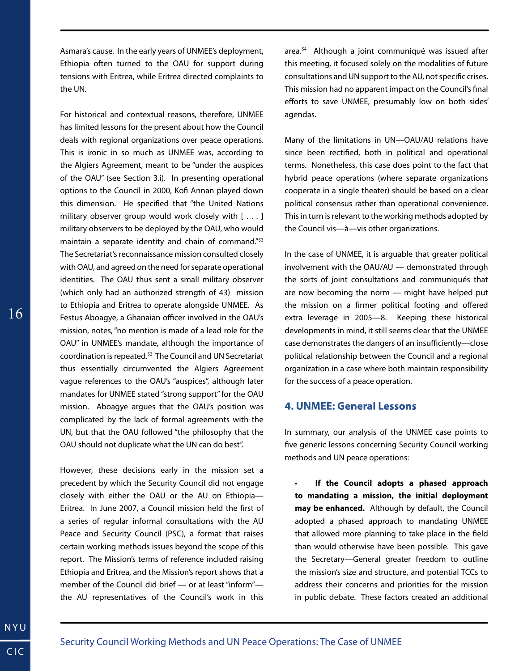Asmara's cause. In the early years of UNMEE's deployment, Ethiopia often turned to the OAU for support during tensions with Eritrea, while Eritrea directed complaints to the UN.

For historical and contextual reasons, therefore, UNMEE has limited lessons for the present about how the Council deals with regional organizations over peace operations. This is ironic in so much as UNMEE was, according to the Algiers Agreement, meant to be "under the auspices of the OAU" (see Section 3.i). In presenting operational options to the Council in 2000, Kofi Annan played down this dimension. He specified that "the United Nations military observer group would work closely with  $[\ldots]$ military observers to be deployed by the OAU, who would maintain a separate identity and chain of command."<sup>53</sup> The Secretariat's reconnaissance mission consulted closely with OAU, and agreed on the need for separate operational identities. The OAU thus sent a small military observer (which only had an authorized strength of 43) mission to Ethiopia and Eritrea to operate alongside UNMEE. As Festus Aboagye, a Ghanaian officer involved in the OAU's mission, notes, "no mention is made of a lead role for the OAU" in UNMEE's mandate, although the importance of coordination is repeated.53 The Council and UN Secretariat thus essentially circumvented the Algiers Agreement vague references to the OAU's "auspices", although later mandates for UNMEE stated "strong support" for the OAU mission. Aboagye argues that the OAU's position was complicated by the lack of formal agreements with the UN, but that the OAU followed "the philosophy that the OAU should not duplicate what the UN can do best".

However, these decisions early in the mission set a precedent by which the Security Council did not engage closely with either the OAU or the AU on Ethiopia— Eritrea. In June 2007, a Council mission held the first of a series of regular informal consultations with the AU Peace and Security Council (PSC), a format that raises certain working methods issues beyond the scope of this report. The Mission's terms of reference included raising Ethiopia and Eritrea, and the Mission's report shows that a member of the Council did brief — or at least "inform" the AU representatives of the Council's work in this

area.54 Although a joint communiqué was issued after this meeting, it focused solely on the modalities of future consultations and UN support to the AU, not specific crises. This mission had no apparent impact on the Council's final efforts to save UNMEE, presumably low on both sides' agendas.

Many of the limitations in UN—OAU/AU relations have since been rectified, both in political and operational terms. Nonetheless, this case does point to the fact that hybrid peace operations (where separate organizations cooperate in a single theater) should be based on a clear political consensus rather than operational convenience. This in turn is relevant to the working methods adopted by the Council vis—à—vis other organizations.

In the case of UNMEE, it is arguable that greater political involvement with the OAU/AU — demonstrated through the sorts of joint consultations and communiqués that are now becoming the norm — might have helped put the mission on a firmer political footing and offered extra leverage in 2005—8. Keeping these historical developments in mind, it still seems clear that the UNMEE case demonstrates the dangers of an insufficiently—close political relationship between the Council and a regional organization in a case where both maintain responsibility for the success of a peace operation.

#### **4. UNMEE: General Lessons**

In summary, our analysis of the UNMEE case points to five generic lessons concerning Security Council working methods and UN peace operations:

If the Council adopts a phased approach **to mandating a mission, the initial deployment may be enhanced.** Although by default, the Council adopted a phased approach to mandating UNMEE that allowed more planning to take place in the field than would otherwise have been possible. This gave the Secretary—General greater freedom to outline the mission's size and structure, and potential TCCs to address their concerns and priorities for the mission in public debate. These factors created an additional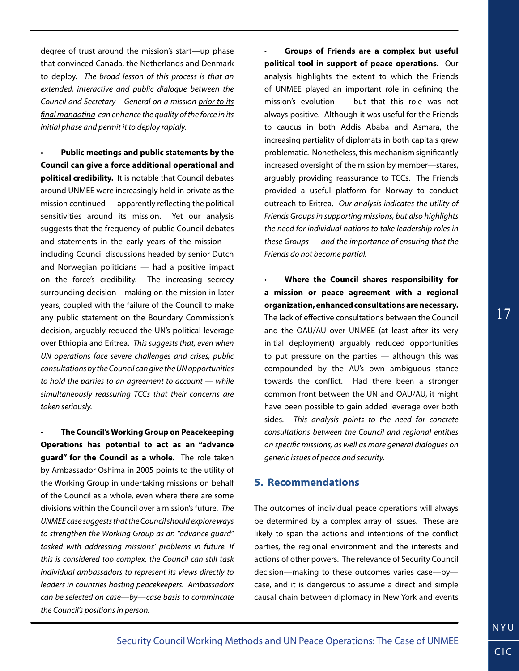degree of trust around the mission's start—up phase that convinced Canada, the Netherlands and Denmark to deploy. *The broad lesson of this process is that an extended, interactive and public dialogue between the Council and Secretary—General on a mission prior to its final mandating can enhance the quality of the force in its initial phase and permit it to deploy rapidly.*

Public meetings and public statements by the **Council can give a force additional operational and political credibility.** It is notable that Council debates around UNMEE were increasingly held in private as the mission continued — apparently reflecting the political sensitivities around its mission. Yet our analysis suggests that the frequency of public Council debates and statements in the early years of the mission including Council discussions headed by senior Dutch and Norwegian politicians — had a positive impact on the force's credibility. The increasing secrecy surrounding decision—making on the mission in later years, coupled with the failure of the Council to make any public statement on the Boundary Commission's decision, arguably reduced the UN's political leverage over Ethiopia and Eritrea. *This suggests that, even when UN operations face severe challenges and crises, public consultations by the Council can give the UN opportunities to hold the parties to an agreement to account — while simultaneously reassuring TCCs that their concerns are taken seriously.*

**The Council's Working Group on Peacekeeping Operations has potential to act as an "advance guard" for the Council as a whole.** The role taken by Ambassador Oshima in 2005 points to the utility of the Working Group in undertaking missions on behalf of the Council as a whole, even where there are some divisions within the Council over a mission's future. *The UNMEE case suggests that the Council should explore ways to strengthen the Working Group as an "advance guard" tasked with addressing missions' problems in future. If this is considered too complex, the Council can still task individual ambassadors to represent its views directly to leaders in countries hosting peacekeepers. Ambassadors can be selected on case—by—case basis to commincate the Council's positions in person.*

**Groups of Friends are a complex but useful political tool in support of peace operations.** Our analysis highlights the extent to which the Friends of UNMEE played an important role in defining the mission's evolution — but that this role was not always positive. Although it was useful for the Friends to caucus in both Addis Ababa and Asmara, the increasing partiality of diplomats in both capitals grew problematic. Nonetheless, this mechanism significantly increased oversight of the mission by member—stares, arguably providing reassurance to TCCs. The Friends provided a useful platform for Norway to conduct outreach to Eritrea. *Our analysis indicates the utility of Friends Groups in supporting missions, but also highlights the need for individual nations to take leadership roles in these Groups — and the importance of ensuring that the Friends do not become partial.*

**Where the Council shares responsibility for a mission or peace agreement with a regional organization, enhanced consultations are necessary.**  The lack of effective consultations between the Council and the OAU/AU over UNMEE (at least after its very initial deployment) arguably reduced opportunities to put pressure on the parties — although this was compounded by the AU's own ambiguous stance towards the conflict. Had there been a stronger common front between the UN and OAU/AU, it might have been possible to gain added leverage over both sides. *This analysis points to the need for concrete consultations between the Council and regional entities on specific missions, as well as more general dialogues on generic issues of peace and security.*

### **5. Recommendations**

The outcomes of individual peace operations will always be determined by a complex array of issues. These are likely to span the actions and intentions of the conflict parties, the regional environment and the interests and actions of other powers. The relevance of Security Council decision—making to these outcomes varies case—by case, and it is dangerous to assume a direct and simple causal chain between diplomacy in New York and events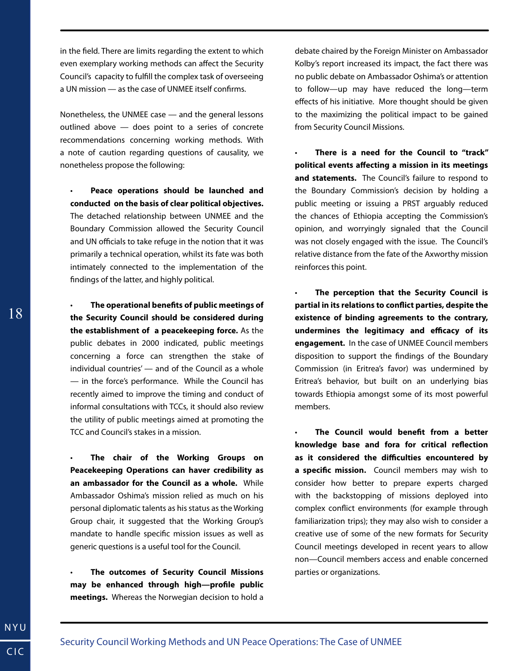in the field. There are limits regarding the extent to which even exemplary working methods can affect the Security Council's capacity to fulfill the complex task of overseeing a UN mission — as the case of UNMEE itself confirms.

Nonetheless, the UNMEE case — and the general lessons outlined above — does point to a series of concrete recommendations concerning working methods. With a note of caution regarding questions of causality, we nonetheless propose the following:

Peace operations should be launched and **conducted on the basis of clear political objectives.**  The detached relationship between UNMEE and the Boundary Commission allowed the Security Council and UN officials to take refuge in the notion that it was primarily a technical operation, whilst its fate was both intimately connected to the implementation of the findings of the latter, and highly political.

**The operational benefits of public meetings of the Security Council should be considered during the establishment of a peacekeeping force.** As the public debates in 2000 indicated, public meetings concerning a force can strengthen the stake of individual countries' — and of the Council as a whole — in the force's performance. While the Council has recently aimed to improve the timing and conduct of informal consultations with TCCs, it should also review the utility of public meetings aimed at promoting the TCC and Council's stakes in a mission.

The chair of the Working Groups on **Peacekeeping Operations can haver credibility as an ambassador for the Council as a whole.** While Ambassador Oshima's mission relied as much on his personal diplomatic talents as his status as the Working Group chair, it suggested that the Working Group's mandate to handle specific mission issues as well as generic questions is a useful tool for the Council.

**The outcomes of Security Council Missions may be enhanced through high—profile public meetings.** Whereas the Norwegian decision to hold a debate chaired by the Foreign Minister on Ambassador Kolby's report increased its impact, the fact there was no public debate on Ambassador Oshima's or attention to follow—up may have reduced the long—term effects of his initiative. More thought should be given to the maximizing the political impact to be gained from Security Council Missions.

There is a need for the Council to "track" **political events affecting a mission in its meetings and statements.** The Council's failure to respond to the Boundary Commission's decision by holding a public meeting or issuing a PRST arguably reduced the chances of Ethiopia accepting the Commission's opinion, and worryingly signaled that the Council was not closely engaged with the issue. The Council's relative distance from the fate of the Axworthy mission reinforces this point.

**The perception that the Security Council is partial in its relations to conflict parties, despite the existence of binding agreements to the contrary, undermines the legitimacy and efficacy of its engagement.** In the case of UNMEE Council members disposition to support the findings of the Boundary Commission (in Eritrea's favor) was undermined by Eritrea's behavior, but built on an underlying bias towards Ethiopia amongst some of its most powerful members.

**The Council would benefit from a better knowledge base and fora for critical reflection as it considered the difficulties encountered by a specific mission.** Council members may wish to consider how better to prepare experts charged with the backstopping of missions deployed into complex conflict environments (for example through familiarization trips); they may also wish to consider a creative use of some of the new formats for Security Council meetings developed in recent years to allow non—Council members access and enable concerned parties or organizations.

NYU CIC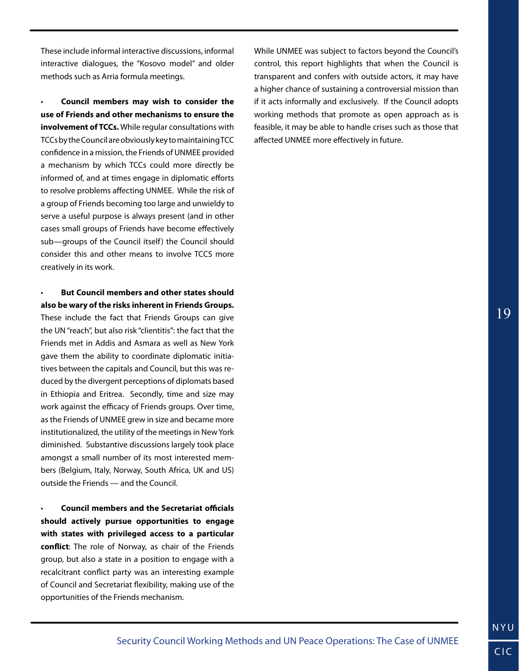These include informal interactive discussions, informal interactive dialogues, the "Kosovo model" and older methods such as Arria formula meetings.

Council members may wish to consider the **use of Friends and other mechanisms to ensure the involvement of TCCs.** While regular consultations with TCCs by the Council are obviously key to maintaining TCC confidence in a mission, the Friends of UNMEE provided a mechanism by which TCCs could more directly be informed of, and at times engage in diplomatic efforts to resolve problems affecting UNMEE. While the risk of a group of Friends becoming too large and unwieldy to serve a useful purpose is always present (and in other cases small groups of Friends have become effectively sub—groups of the Council itself) the Council should consider this and other means to involve TCCS more creatively in its work.

**But Council members and other states should also be wary of the risks inherent in Friends Groups.**  These include the fact that Friends Groups can give the UN "reach", but also risk "clientitis": the fact that the Friends met in Addis and Asmara as well as New York gave them the ability to coordinate diplomatic initiatives between the capitals and Council, but this was reduced by the divergent perceptions of diplomats based in Ethiopia and Eritrea. Secondly, time and size may work against the efficacy of Friends groups. Over time, as the Friends of UNMEE grew in size and became more institutionalized, the utility of the meetings in New York diminished. Substantive discussions largely took place amongst a small number of its most interested members (Belgium, Italy, Norway, South Africa, UK and US) outside the Friends — and the Council.

**Council members and the Secretariat officials should actively pursue opportunities to engage with states with privileged access to a particular conflict**: The role of Norway, as chair of the Friends group, but also a state in a position to engage with a recalcitrant conflict party was an interesting example of Council and Secretariat flexibility, making use of the opportunities of the Friends mechanism.

While UNMEE was subject to factors beyond the Council's control, this report highlights that when the Council is transparent and confers with outside actors, it may have a higher chance of sustaining a controversial mission than if it acts informally and exclusively. If the Council adopts working methods that promote as open approach as is feasible, it may be able to handle crises such as those that affected UNMEE more effectively in future.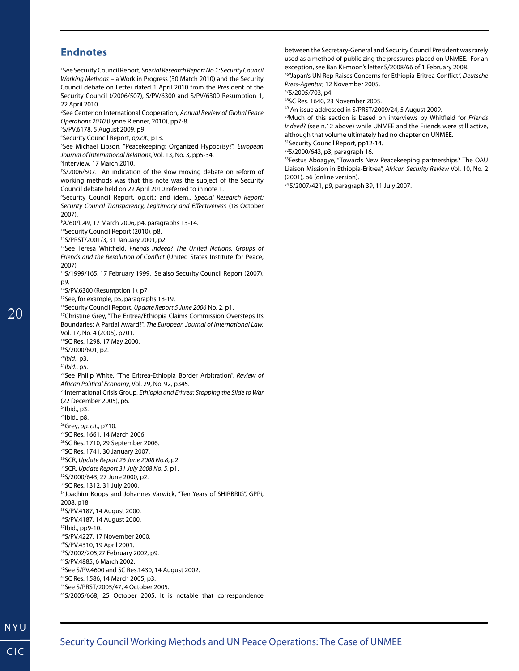### **Endnotes**

1 See Security Council Report, *Special Research Report No.1: Security Council Working Methods* – a Work in Progress (30 Match 2010) and the Security Council debate on Letter dated 1 April 2010 from the President of the Security Council (/2006/507), S/PV/6300 and S/PV/6300 Resumption 1, 22 April 2010

2 See Center on International Cooperation, *Annual Review of Global Peace Operations 2010* (Lynne Rienner, 2010), pp7-8.

- 3 S/PV.6178, 5 August 2009, p9.
- 4 Security Council Report, *op.cit*., p13.

5 See Michael Lipson, "Peacekeeping: Organized Hypocrisy?", *European Journal of International Relations*, Vol. 13, No. 3, pp5-34.

6 Interview, 17 March 2010.

7 S/2006/507. An indication of the slow moving debate on reform of working methods was that this note was the subject of the Security Council debate held on 22 April 2010 referred to in note 1.

8 Security Council Report, op.cit.; and idem., *Special Research Report: Security Council Transparency, Legitimacy and Effectiveness* (18 October 2007).

9 A/60/L.49, 17 March 2006, p4, paragraphs 13-14.

<sup>10</sup>Security Council Report (2010), p8.

11S/PRST/2001/3, 31 January 2001, p2.

12See Teresa Whitfield, *Friends Indeed? The United Nations, Groups of Friends and the Resolution of Conflict* (United States Institute for Peace, 2007)

<sup>13</sup>S/1999/165, 17 February 1999. Se also Security Council Report (2007), p9.

14S/PV.6300 (Resumption 1), p7

<sup>15</sup>See, for example, p5, paragraphs 18-19.

44See S/PRST/2005/47, 4 October 2005.

16Security Council Report, *Update Report 5 June 2006* No. 2, p1.

<sup>17</sup>Christine Grey, "The Eritrea/Ethiopia Claims Commission Oversteps Its Boundaries: A Partial Award?", *The European Journal of International Law,*  Vol. 17, No. 4 (2006), p701. 18SC Res. 1298, 17 May 2000. 19S/2000/601, p2.

<sup>20</sup>*Ibid*., p3. <sup>21</sup>*Ibid*., p5.

> 22See Philip White, "The Eritrea-Ethiopia Border Arbitration", *Review of African Political Economy*, Vol. 29, No. 92, p345.

> 23International Crisis Group, *Ethiopia and Eritrea: Stopping the Slide to War*  (22 December 2005), p6.

24Ibid., p3. 25Ibid., p8. 26Grey, *op. cit*., p710. 27SC Res. 1661, 14 March 2006. 28SC Res. 1710, 29 September 2006. 29SC Res. 1741, 30 January 2007. 30SCR, *Update Report 26 June 2008 No.8*, p2. 31SCR, *Update Report 31 July 2008 No. 5*, p1. 32S/2000/643, 27 June 2000, p2. 33SC Res. 1312, 31 July 2000. 34 Joachim Koops and Johannes Varwick, "Ten Years of SHIRBRIG", GPPi, 2008, p18. 35S/PV.4187, 14 August 2000. 36S/PV.4187, 14 August 2000. 37Ibid., pp9-10. 38S/PV.4227, 17 November 2000. 39S/PV.4310, 19 April 2001. 40S/2002/205,27 February 2002, p9. 41S/PV.4885, 6 March 2002. 42See S/PV.4600 and SC Res.1430, 14 August 2002. 43SC Res. 1586, 14 March 2005, p3.

45S/2005/668, 25 October 2005. It is notable that correspondence

between the Secretary-General and Security Council President was rarely used as a method of publicizing the pressures placed on UNMEE. For an exception, see Ban Ki-moon's letter S/2008/66 of 1 February 2008.

46"Japan's UN Rep Raises Concerns for Ethiopia-Eritrea Conflict", *Deutsche Press-Agentur*, 12 November 2005.

47S/2005/703, p4.

48SC Res. 1640, 23 November 2005.

49 An issue addressed in S/PRST/2009/24, 5 August 2009.

50Much of this section is based on interviews by Whitfield for *Friends Indeed*? (see n.12 above) while UNMEE and the Friends were still active, although that volume ultimately had no chapter on UNMEE.

51Security Council Report, pp12-14.

52S/2000/643, p3, paragraph 16.

53Festus Aboagye, "Towards New Peacekeeping partnerships? The OAU Liaison Mission in Ethiopia-Eritrea", *African Security Review* Vol. 10, No. 2 (2001), p6 (online version).

54 S/2007/421, p9, paragraph 39, 11 July 2007.

NYU CIC

### Security Council Working Methods and UN Peace Operations: The Case of UNMEE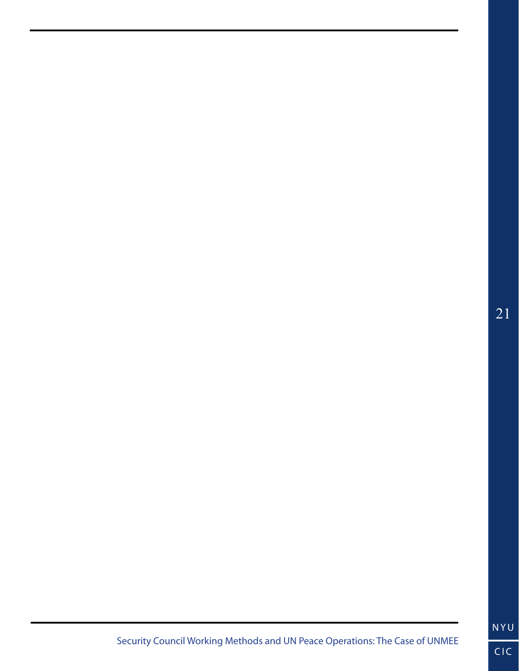# Security Council Working Methods and UN Peace Operations: The Case of UNMEE

CIC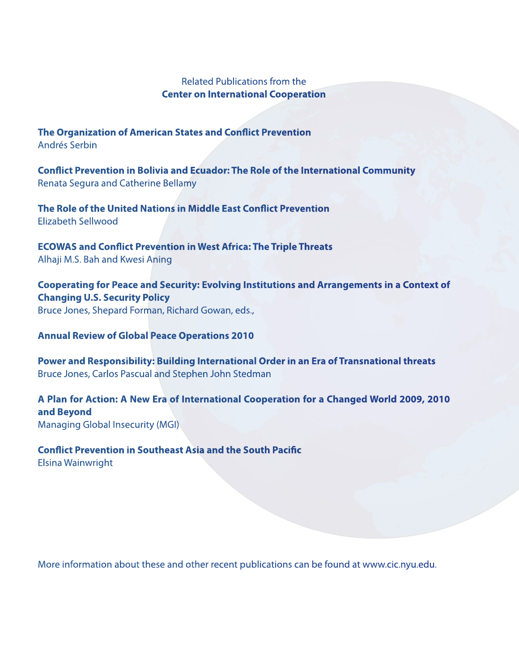## Related Publications from the **Center on International Cooperation**

**The Organization of American States and Conflict Prevention** Andrés Serbin

**Conflict Prevention in Bolivia and Ecuador: The Role of the International Community** Renata Segura and Catherine Bellamy

**The Role of the United Nations in Middle East Conflict Prevention** Elizabeth Sellwood

**ECOWAS and Conflict Prevention in West Africa: The Triple Threats** Alhaji M.S. Bah and Kwesi Aning

**Cooperating for Peace and Security: Evolving Institutions and Arrangements in a Context of Changing U.S. Security Policy** Bruce Jones, Shepard Forman, Richard Gowan, eds.,

## **Annual Review of Global Peace Operations 2010**

**Power and Responsibility: Building International Order in an Era of Transnational threats** Bruce Jones, Carlos Pascual and Stephen John Stedman

**A Plan for Action: A New Era of International Cooperation for a Changed World 2009, 2010 and Beyond** Managing Global Insecurity (MGI)

# **Conflict Prevention in Southeast Asia and the South Pacific**

Elsina Wainwright

More information about these and other recent publications can be found at www.cic.nyu.edu.